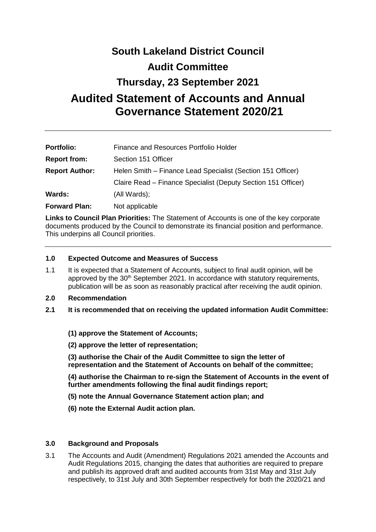# **South Lakeland District Council Audit Committee**

# **Thursday, 23 September 2021**

# **Audited Statement of Accounts and Annual Governance Statement 2020/21**

| <b>Portfolio:</b>     | Finance and Resources Portfolio Holder                        |
|-----------------------|---------------------------------------------------------------|
| <b>Report from:</b>   | Section 151 Officer                                           |
| <b>Report Author:</b> | Helen Smith - Finance Lead Specialist (Section 151 Officer)   |
|                       | Claire Read – Finance Specialist (Deputy Section 151 Officer) |
| <b>Wards:</b>         | (All Wards);                                                  |
| <b>Forward Plan:</b>  | Not applicable                                                |

**Links to Council Plan Priorities:** The Statement of Accounts is one of the key corporate documents produced by the Council to demonstrate its financial position and performance. This underpins all Council priorities.

## **1.0 Expected Outcome and Measures of Success**

- 1.1 It is expected that a Statement of Accounts, subject to final audit opinion, will be approved by the 30<sup>th</sup> September 2021. In accordance with statutory requirements, publication will be as soon as reasonably practical after receiving the audit opinion.
- **2.0 Recommendation**
- **2.1 It is recommended that on receiving the updated information Audit Committee:**
	- **(1) approve the Statement of Accounts;**
	- **(2) approve the letter of representation;**
	- **(3) authorise the Chair of the Audit Committee to sign the letter of representation and the Statement of Accounts on behalf of the committee;**
	- **(4) authorise the Chairman to re-sign the Statement of Accounts in the event of further amendments following the final audit findings report;**
	- **(5) note the Annual Governance Statement action plan; and**
	- **(6) note the External Audit action plan.**

#### **3.0 Background and Proposals**

3.1 The Accounts and Audit (Amendment) Regulations 2021 amended the Accounts and Audit Regulations 2015, changing the dates that authorities are required to prepare and publish its approved draft and audited accounts from 31st May and 31st July respectively, to 31st July and 30th September respectively for both the 2020/21 and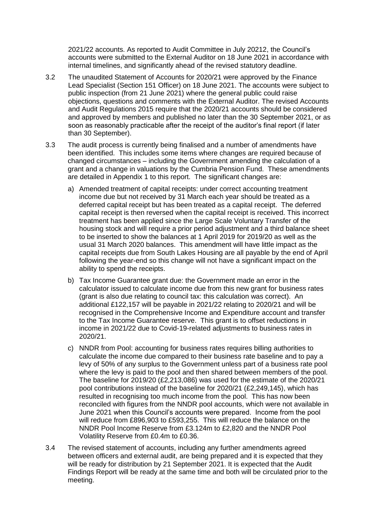2021/22 accounts. As reported to Audit Committee in July 20212, the Council's accounts were submitted to the External Auditor on 18 June 2021 in accordance with internal timelines, and significantly ahead of the revised statutory deadline.

- 3.2 The unaudited Statement of Accounts for 2020/21 were approved by the Finance Lead Specialist (Section 151 Officer) on 18 June 2021. The accounts were subject to public inspection (from 21 June 2021) where the general public could raise objections, questions and comments with the External Auditor. The revised Accounts and Audit Regulations 2015 require that the 2020/21 accounts should be considered and approved by members and published no later than the 30 September 2021, or as soon as reasonably practicable after the receipt of the auditor's final report (if later than 30 September).
- 3.3 The audit process is currently being finalised and a number of amendments have been identified. This includes some items where changes are required because of changed circumstances – including the Government amending the calculation of a grant and a change in valuations by the Cumbria Pension Fund. These amendments are detailed in Appendix 1 to this report. The significant changes are:
	- a) Amended treatment of capital receipts: under correct accounting treatment income due but not received by 31 March each year should be treated as a deferred capital receipt but has been treated as a capital receipt. The deferred capital receipt is then reversed when the capital receipt is received. This incorrect treatment has been applied since the Large Scale Voluntary Transfer of the housing stock and will require a prior period adjustment and a third balance sheet to be inserted to show the balances at 1 April 2019 for 2019/20 as well as the usual 31 March 2020 balances. This amendment will have little impact as the capital receipts due from South Lakes Housing are all payable by the end of April following the year-end so this change will not have a significant impact on the ability to spend the receipts.
	- b) Tax Income Guarantee grant due: the Government made an error in the calculator issued to calculate income due from this new grant for business rates (grant is also due relating to council tax: this calculation was correct). An additional £122,157 will be payable in 2021/22 relating to 2020/21 and will be recognised in the Comprehensive Income and Expenditure account and transfer to the Tax Income Guarantee reserve. This grant is to offset reductions in income in 2021/22 due to Covid-19-related adjustments to business rates in 2020/21.
	- c) NNDR from Pool: accounting for business rates requires billing authorities to calculate the income due compared to their business rate baseline and to pay a levy of 50% of any surplus to the Government unless part of a business rate pool where the levy is paid to the pool and then shared between members of the pool. The baseline for 2019/20 (£2,213,086) was used for the estimate of the 2020/21 pool contributions instead of the baseline for 2020/21 (£2,249,145), which has resulted in recognising too much income from the pool. This has now been reconciled with figures from the NNDR pool accounts, which were not available in June 2021 when this Council's accounts were prepared. Income from the pool will reduce from £896,903 to £593,255. This will reduce the balance on the NNDR Pool Income Reserve from £3.124m to £2,820 and the NNDR Pool Volatility Reserve from £0.4m to £0.36.
- 3.4 The revised statement of accounts, including any further amendments agreed between officers and external audit, are being prepared and it is expected that they will be ready for distribution by 21 September 2021. It is expected that the Audit Findings Report will be ready at the same time and both will be circulated prior to the meeting.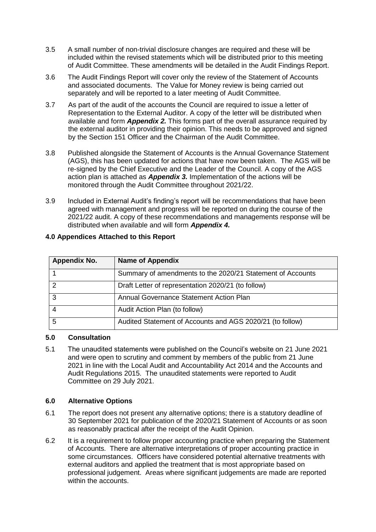- 3.5 A small number of non-trivial disclosure changes are required and these will be included within the revised statements which will be distributed prior to this meeting of Audit Committee. These amendments will be detailed in the Audit Findings Report.
- 3.6 The Audit Findings Report will cover only the review of the Statement of Accounts and associated documents. The Value for Money review is being carried out separately and will be reported to a later meeting of Audit Committee.
- 3.7 As part of the audit of the accounts the Council are required to issue a letter of Representation to the External Auditor. A copy of the letter will be distributed when available and form *Appendix 2.* This forms part of the overall assurance required by the external auditor in providing their opinion. This needs to be approved and signed by the Section 151 Officer and the Chairman of the Audit Committee.
- 3.8 Published alongside the Statement of Accounts is the Annual Governance Statement (AGS), this has been updated for actions that have now been taken. The AGS will be re-signed by the Chief Executive and the Leader of the Council. A copy of the AGS action plan is attached as *Appendix 3.* Implementation of the actions will be monitored through the Audit Committee throughout 2021/22.
- 3.9 Included in External Audit's finding's report will be recommendations that have been agreed with management and progress will be reported on during the course of the 2021/22 audit. A copy of these recommendations and managements response will be distributed when available and will form *Appendix 4.*

| <b>Appendix No.</b> | <b>Name of Appendix</b>                                    |
|---------------------|------------------------------------------------------------|
|                     | Summary of amendments to the 2020/21 Statement of Accounts |
|                     | Draft Letter of representation 2020/21 (to follow)         |
| З                   | Annual Governance Statement Action Plan                    |
|                     | Audit Action Plan (to follow)                              |
| 5                   | Audited Statement of Accounts and AGS 2020/21 (to follow)  |

## **4.0 Appendices Attached to this Report**

#### **5.0 Consultation**

5.1 The unaudited statements were published on the Council's website on 21 June 2021 and were open to scrutiny and comment by members of the public from 21 June 2021 in line with the Local Audit and Accountability Act 2014 and the Accounts and Audit Regulations 2015. The unaudited statements were reported to Audit Committee on 29 July 2021.

# **6.0 Alternative Options**

- 6.1 The report does not present any alternative options; there is a statutory deadline of 30 September 2021 for publication of the 2020/21 Statement of Accounts or as soon as reasonably practical after the receipt of the Audit Opinion.
- 6.2 It is a requirement to follow proper accounting practice when preparing the Statement of Accounts. There are alternative interpretations of proper accounting practice in some circumstances. Officers have considered potential alternative treatments with external auditors and applied the treatment that is most appropriate based on professional judgement. Areas where significant judgements are made are reported within the accounts.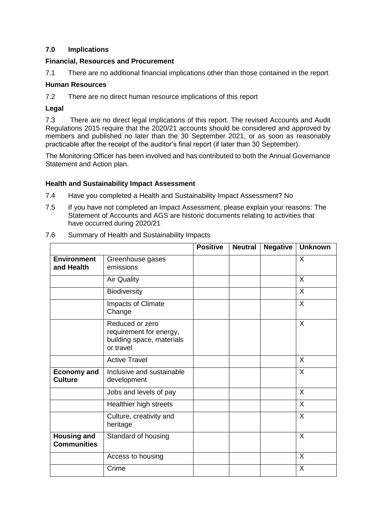## **7.0 Implications**

#### **Financial, Resources and Procurement**

7.1 There are no additional financial implications other than those contained in the report

#### **Human Resources**

7.2 There are no direct human resource implications of this report

#### **Legal**

7.3 There are no direct legal implications of this report. The revised Accounts and Audit Regulations 2015 require that the 2020/21 accounts should be considered and approved by members and published no later than the 30 September 2021, or as soon as reasonably practicable after the receipt of the auditor's final report (if later than 30 September).

The Monitoring Officer has been involved and has contributed to both the Annual Governance Statement and Action plan.

#### **Health and Sustainability Impact Assessment**

- 7.4 Have you completed a Health and Sustainability Impact Assessment? No
- 7.5 If you have not completed an Impact Assessment, please explain your reasons: The Statement of Accounts and AGS are historic documents relating to activities that have occurred during 2020/21
- 7.6 Summary of Health and Sustainability Impacts

|                                          |                                                                                      | <b>Positive</b> | <b>Neutral</b> | <b>Negative</b> | <b>Unknown</b> |
|------------------------------------------|--------------------------------------------------------------------------------------|-----------------|----------------|-----------------|----------------|
| <b>Environment</b><br>and Health         | Greenhouse gases<br>emissions                                                        |                 |                |                 | X              |
|                                          | <b>Air Quality</b>                                                                   |                 |                |                 | X              |
|                                          | <b>Biodiversity</b>                                                                  |                 |                |                 | X              |
|                                          | Impacts of Climate<br>Change                                                         |                 |                |                 | X              |
|                                          | Reduced or zero<br>requirement for energy,<br>building space, materials<br>or travel |                 |                |                 | X              |
|                                          | <b>Active Travel</b>                                                                 |                 |                |                 | X              |
| <b>Economy and</b><br><b>Culture</b>     | Inclusive and sustainable<br>development                                             |                 |                |                 | X              |
|                                          | Jobs and levels of pay                                                               |                 |                |                 | $\mathsf{X}$   |
|                                          | Healthier high streets                                                               |                 |                |                 | X              |
|                                          | Culture, creativity and<br>heritage                                                  |                 |                |                 | X              |
| <b>Housing and</b><br><b>Communities</b> | Standard of housing                                                                  |                 |                |                 | X              |
|                                          | Access to housing                                                                    |                 |                |                 | X              |
|                                          | Crime                                                                                |                 |                |                 | X              |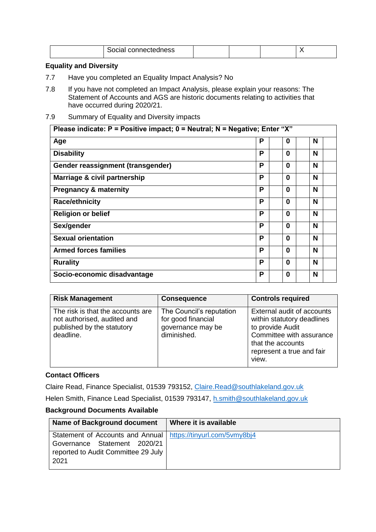| - - -<br>אווי״ "<br>ים |  |  |  |  |
|------------------------|--|--|--|--|
|------------------------|--|--|--|--|

## **Equality and Diversity**

- 7.7 Have you completed an Equality Impact Analysis? No
- 7.8 If you have not completed an Impact Analysis, please explain your reasons: The Statement of Accounts and AGS are historic documents relating to activities that have occurred during 2020/21.
- 7.9 Summary of Equality and Diversity impacts

| Please indicate: $P =$ Positive impact; $0 =$ Neutral; N = Negative; Enter "X" |   |          |   |  |
|--------------------------------------------------------------------------------|---|----------|---|--|
| Age                                                                            | P | 0        | N |  |
| <b>Disability</b>                                                              | Р | 0        | N |  |
| Gender reassignment (transgender)                                              | Р | $\Omega$ | N |  |
| Marriage & civil partnership                                                   | Р | 0        | N |  |
| <b>Pregnancy &amp; maternity</b>                                               | P | $\Omega$ | N |  |
| <b>Race/ethnicity</b>                                                          | P | 0        | N |  |
| <b>Religion or belief</b>                                                      | P | $\Omega$ | N |  |
| Sex/gender                                                                     | P | 0        | N |  |
| <b>Sexual orientation</b>                                                      | P | 0        | N |  |
| <b>Armed forces families</b>                                                   | Р | 0        | N |  |
| <b>Rurality</b>                                                                | P | 0        | N |  |
| Socio-economic disadvantage                                                    | P | 0        | N |  |

| <b>Risk Management</b>                                                                                      | <b>Consequence</b>                                                                 | <b>Controls required</b>                                                                                                                                            |
|-------------------------------------------------------------------------------------------------------------|------------------------------------------------------------------------------------|---------------------------------------------------------------------------------------------------------------------------------------------------------------------|
| The risk is that the accounts are<br>not authorised, audited and<br>published by the statutory<br>deadline. | The Council's reputation<br>for good financial<br>governance may be<br>diminished. | External audit of accounts<br>within statutory deadlines<br>to provide Audit<br>Committee with assurance<br>that the accounts<br>represent a true and fair<br>view. |

#### **Contact Officers**

Claire Read, Finance Specialist, 01539 793152, [Claire.Read@southlakeland.gov.uk](mailto:Claire.Read@southlakeland.gov.uk)

Helen Smith, Finance Lead Specialist, 01539 793147, [h.smith@southlakeland.gov.uk](mailto:h.smith@southlakeland.gov.uk)

#### **Background Documents Available**

| <b>Name of Background document</b>                                                                                                             | Where it is available |
|------------------------------------------------------------------------------------------------------------------------------------------------|-----------------------|
| Statement of Accounts and Annual   https://tinyurl.com/5vmy8bj4<br>Governance Statement 2020/21<br>reported to Audit Committee 29 July<br>2021 |                       |